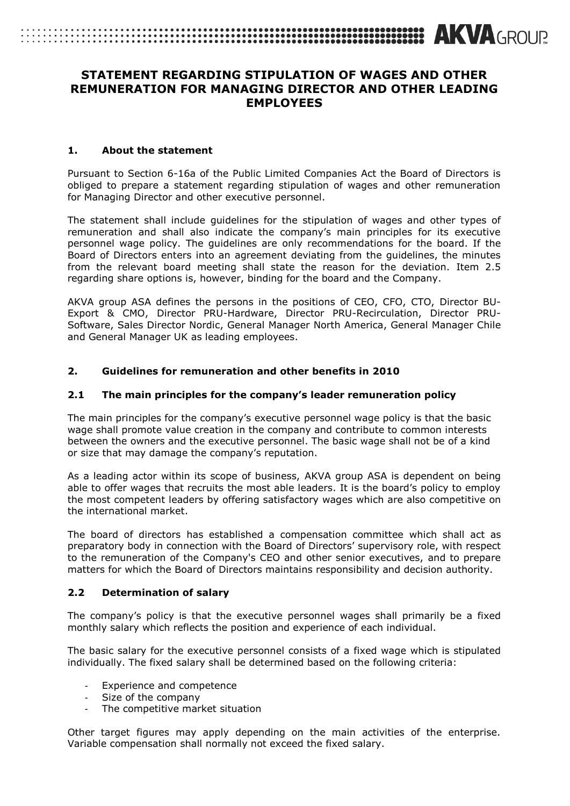# **EXAMPLE TELECONOMIC SECTION CONTINUES AND SERVICE SECTIONS AND AND GROUP.**

# **STATEMENT REGARDING STIPULATION OF WAGES AND OTHER REMUNERATION FOR MANAGING DIRECTOR AND OTHER LEADING EMPLOYEES**

#### **1. About the statement**

Pursuant to Section 6-16a of the Public Limited Companies Act the Board of Directors is obliged to prepare a statement regarding stipulation of wages and other remuneration for Managing Director and other executive personnel.

The statement shall include guidelines for the stipulation of wages and other types of remuneration and shall also indicate the company's main principles for its executive personnel wage policy. The guidelines are only recommendations for the board. If the Board of Directors enters into an agreement deviating from the guidelines, the minutes from the relevant board meeting shall state the reason for the deviation. Item 2.5 regarding share options is, however, binding for the board and the Company.

AKVA group ASA defines the persons in the positions of CEO, CFO, CTO, Director BU-Export & CMO, Director PRU-Hardware, Director PRU-Recirculation, Director PRU-Software, Sales Director Nordic, General Manager North America, General Manager Chile and General Manager UK as leading employees.

# **2. Guidelines for remuneration and other benefits in 2010**

#### **2.1 The main principles for the company's leader remuneration policy**

The main principles for the company's executive personnel wage policy is that the basic wage shall promote value creation in the company and contribute to common interests between the owners and the executive personnel. The basic wage shall not be of a kind or size that may damage the company's reputation.

As a leading actor within its scope of business, AKVA group ASA is dependent on being able to offer wages that recruits the most able leaders. It is the board's policy to employ the most competent leaders by offering satisfactory wages which are also competitive on the international market.

The board of directors has established a compensation committee which shall act as preparatory body in connection with the Board of Directors' supervisory role, with respect to the remuneration of the Company's CEO and other senior executives, and to prepare matters for which the Board of Directors maintains responsibility and decision authority.

#### **2.2 Determination of salary**

The company's policy is that the executive personnel wages shall primarily be a fixed monthly salary which reflects the position and experience of each individual.

The basic salary for the executive personnel consists of a fixed wage which is stipulated individually. The fixed salary shall be determined based on the following criteria:

- Experience and competence
- Size of the company
- The competitive market situation

Other target figures may apply depending on the main activities of the enterprise. Variable compensation shall normally not exceed the fixed salary.